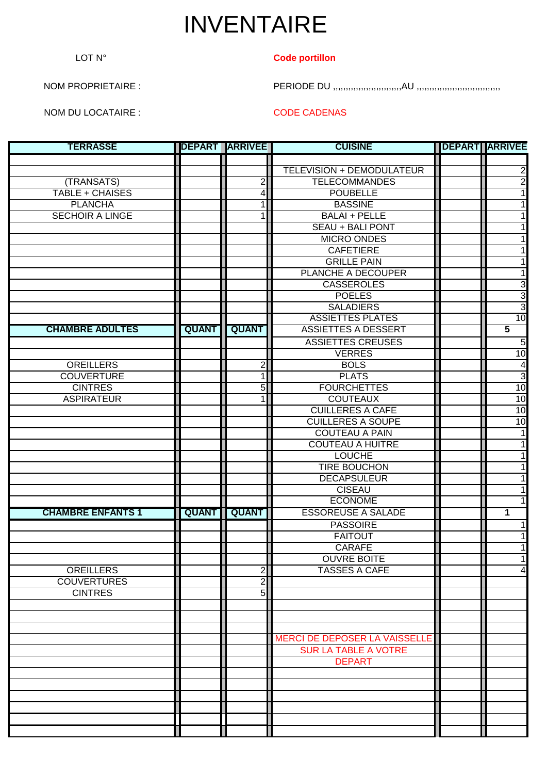## INVENTAIRE

## LOT N° **Code portillon**

NOM PROPRIETAIRE : PERIODE DU ,,,,,,,,,,,,,,,,,,,,,,,,,,,AU ,,,,,,,,,,,,,,,,,,,,,,,,,,,,,,,,,

NOM DU LOCATAIRE : CODE CADENAS

| <b>TERRASSE</b>          |              | <b>DEPART ARRIVEE</b> | <b>CUISINE</b>                       | <b>IDEPART ARRIVEE</b> |                         |
|--------------------------|--------------|-----------------------|--------------------------------------|------------------------|-------------------------|
|                          |              |                       |                                      |                        |                         |
|                          |              |                       | <b>TELEVISION + DEMODULATEUR</b>     |                        | 2                       |
| (TRANSATS)               |              | $\overline{2}$        | <b>TELECOMMANDES</b>                 |                        | $\overline{2}$          |
| TABLE + CHAISES          |              | 4                     | <b>POUBELLE</b>                      |                        |                         |
| <b>PLANCHA</b>           |              | 1                     | <b>BASSINE</b>                       |                        |                         |
| <b>SECHOIR A LINGE</b>   |              | 1                     | <b>BALAI + PELLE</b>                 |                        |                         |
|                          |              |                       | <b>SEAU + BALI PONT</b>              |                        |                         |
|                          |              |                       | <b>MICRO ONDES</b>                   |                        |                         |
|                          |              |                       | <b>CAFETIERE</b>                     |                        |                         |
|                          |              |                       | <b>GRILLE PAIN</b>                   |                        |                         |
|                          |              |                       | PLANCHE A DECOUPER                   |                        | 1                       |
|                          |              |                       | <b>CASSEROLES</b>                    |                        | 3                       |
|                          |              |                       | <b>POELES</b>                        |                        | $\overline{3}$          |
|                          |              |                       | <b>SALADIERS</b>                     |                        | $\overline{3}$          |
|                          |              |                       | <b>ASSIETTES PLATES</b>              |                        | $\overline{10}$         |
| <b>CHAMBRE ADULTES</b>   | <b>QUANT</b> | <b>QUANT</b>          | <b>ASSIETTES A DESSERT</b>           |                        | $\overline{\mathbf{5}}$ |
|                          |              |                       | <b>ASSIETTES CREUSES</b>             |                        | 5                       |
|                          |              |                       | <b>VERRES</b>                        |                        | 10                      |
| <b>OREILLERS</b>         |              | 2                     | <b>BOLS</b>                          |                        | 4                       |
| <b>COUVERTURE</b>        |              | 1                     | <b>PLATS</b>                         |                        | $\overline{3}$          |
| <b>CINTRES</b>           |              | 5                     | <b>FOURCHETTES</b>                   |                        | 10                      |
| <b>ASPIRATEUR</b>        |              | 1                     | <b>COUTEAUX</b>                      |                        | 10                      |
|                          |              |                       | <b>CUILLERES A CAFE</b>              |                        | 10                      |
|                          |              |                       | <b>CUILLERES A SOUPE</b>             |                        | 10                      |
|                          |              |                       | <b>COUTEAU A PAIN</b>                |                        | 1                       |
|                          |              |                       | <b>COUTEAU A HUITRE</b>              |                        |                         |
|                          |              |                       | <b>LOUCHE</b>                        |                        |                         |
|                          |              |                       | <b>TIRE BOUCHON</b>                  |                        |                         |
|                          |              |                       | <b>DECAPSULEUR</b>                   |                        |                         |
|                          |              |                       | <b>CISEAU</b>                        |                        |                         |
|                          |              |                       | <b>ECONOME</b>                       |                        |                         |
| <b>CHAMBRE ENFANTS 1</b> | <b>QUANT</b> | <b>QUANT</b>          | <b>ESSOREUSE A SALADE</b>            |                        | $\mathbf 1$             |
|                          |              |                       | <b>PASSOIRE</b>                      |                        |                         |
|                          |              |                       | <b>FAITOUT</b>                       |                        |                         |
|                          |              |                       | <b>CARAFE</b>                        |                        |                         |
|                          |              |                       | <b>OUVRE BOITE</b>                   |                        |                         |
| <b>OREILLERS</b>         |              | $\overline{c}$        | <b>TASSES A CAFE</b>                 |                        | 4                       |
| <b>COUVERTURES</b>       |              | $\overline{2}$        |                                      |                        |                         |
| <b>CINTRES</b>           |              | 5                     |                                      |                        |                         |
|                          |              |                       |                                      |                        |                         |
|                          |              |                       |                                      |                        |                         |
|                          |              |                       |                                      |                        |                         |
|                          |              |                       | <b>MERCI DE DEPOSER LA VAISSELLE</b> |                        |                         |
|                          |              |                       | <b>SUR LA TABLE A VOTRE</b>          |                        |                         |
|                          |              |                       | <b>DEPART</b>                        |                        |                         |
|                          |              |                       |                                      |                        |                         |
|                          |              |                       |                                      |                        |                         |
|                          |              |                       |                                      |                        |                         |
|                          |              |                       |                                      |                        |                         |
|                          |              |                       |                                      |                        |                         |
|                          |              |                       |                                      |                        |                         |
|                          |              |                       |                                      |                        |                         |